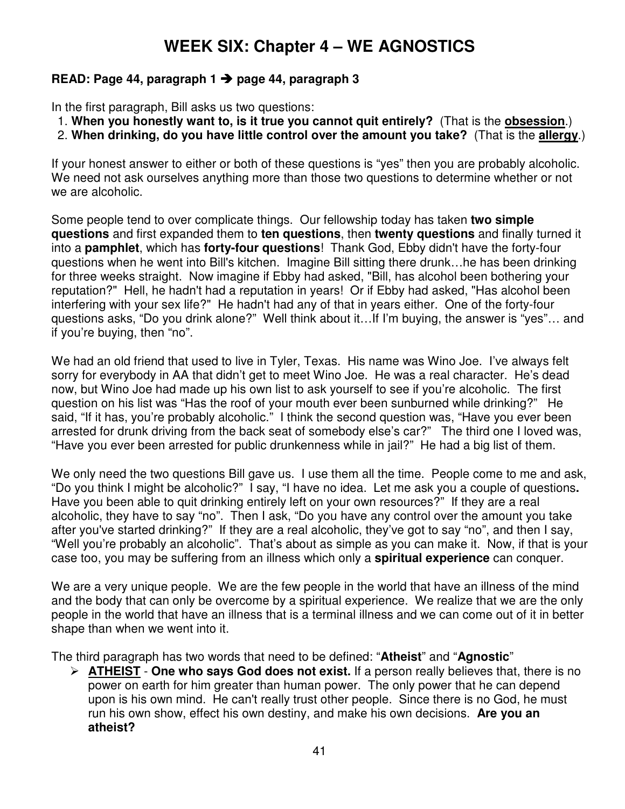# **WEEK SIX: Chapter 4 – WE AGNOSTICS**

# **READ: Page 44, paragraph 1 page 44, paragraph 3**

In the first paragraph, Bill asks us two questions:

- 1. **When you honestly want to, is it true you cannot quit entirely?** (That is the **obsession**.)
- 2. **When drinking, do you have little control over the amount you take?** (That is the **allergy**.)

If your honest answer to either or both of these questions is "yes" then you are probably alcoholic. We need not ask ourselves anything more than those two questions to determine whether or not we are alcoholic.

Some people tend to over complicate things. Our fellowship today has taken **two simple questions** and first expanded them to **ten questions**, then **twenty questions** and finally turned it into a **pamphlet**, which has **forty-four questions**! Thank God, Ebby didn't have the forty-four questions when he went into Bill's kitchen. Imagine Bill sitting there drunk…he has been drinking for three weeks straight. Now imagine if Ebby had asked, "Bill, has alcohol been bothering your reputation?" Hell, he hadn't had a reputation in years! Or if Ebby had asked, "Has alcohol been interfering with your sex life?" He hadn't had any of that in years either. One of the forty-four questions asks, "Do you drink alone?" Well think about it…If I'm buying, the answer is "yes"… and if you're buying, then "no".

We had an old friend that used to live in Tyler, Texas. His name was Wino Joe. I've always felt sorry for everybody in AA that didn't get to meet Wino Joe. He was a real character. He's dead now, but Wino Joe had made up his own list to ask yourself to see if you're alcoholic. The first question on his list was "Has the roof of your mouth ever been sunburned while drinking?" He said, "If it has, you're probably alcoholic." I think the second question was, "Have you ever been arrested for drunk driving from the back seat of somebody else's car?" The third one I loved was, "Have you ever been arrested for public drunkenness while in jail?" He had a big list of them.

We only need the two questions Bill gave us. I use them all the time. People come to me and ask, "Do you think I might be alcoholic?" I say, "I have no idea. Let me ask you a couple of questions**.**  Have you been able to quit drinking entirely left on your own resources?" If they are a real alcoholic, they have to say "no". Then I ask, "Do you have any control over the amount you take after you've started drinking?" If they are a real alcoholic, they've got to say "no", and then I say, "Well you're probably an alcoholic". That's about as simple as you can make it. Now, if that is your case too, you may be suffering from an illness which only a **spiritual experience** can conquer.

We are a very unique people. We are the few people in the world that have an illness of the mind and the body that can only be overcome by a spiritual experience. We realize that we are the only people in the world that have an illness that is a terminal illness and we can come out of it in better shape than when we went into it.

The third paragraph has two words that need to be defined: "**Atheist**" and "**Agnostic**"

> **ATHEIST** - **One who says God does not exist.** If a person really believes that, there is no power on earth for him greater than human power. The only power that he can depend upon is his own mind. He can't really trust other people. Since there is no God, he must run his own show, effect his own destiny, and make his own decisions. **Are you an atheist?**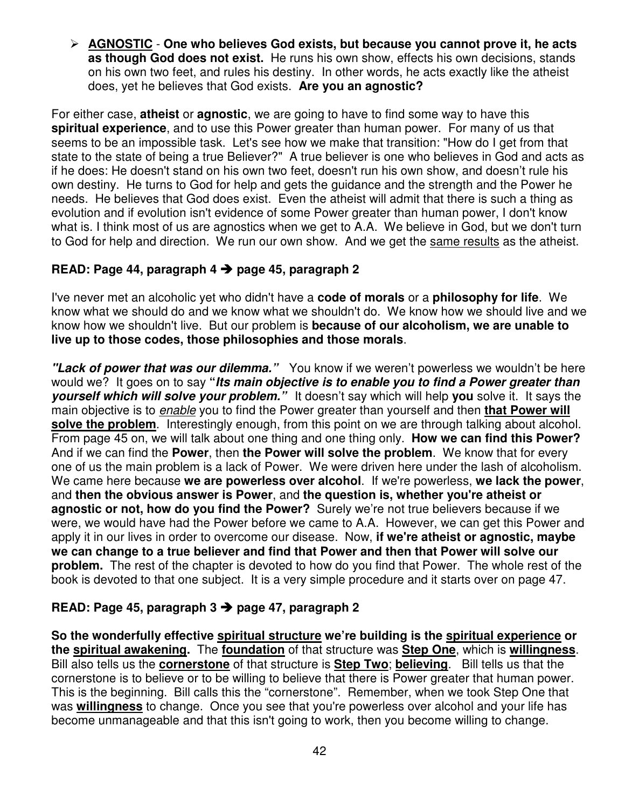**EXAGIOSTIC** - One who believes God exists, but because you cannot prove it, he acts **as though God does not exist.** He runs his own show, effects his own decisions, stands on his own two feet, and rules his destiny. In other words, he acts exactly like the atheist does, yet he believes that God exists. **Are you an agnostic?** 

For either case, **atheist** or **agnostic**, we are going to have to find some way to have this **spiritual experience**, and to use this Power greater than human power. For many of us that seems to be an impossible task. Let's see how we make that transition: "How do I get from that state to the state of being a true Believer?" A true believer is one who believes in God and acts as if he does: He doesn't stand on his own two feet, doesn't run his own show, and doesn't rule his own destiny. He turns to God for help and gets the guidance and the strength and the Power he needs. He believes that God does exist. Even the atheist will admit that there is such a thing as evolution and if evolution isn't evidence of some Power greater than human power, I don't know what is. I think most of us are agnostics when we get to A.A. We believe in God, but we don't turn to God for help and direction. We run our own show. And we get the same results as the atheist.

# **READ: Page 44, paragraph 4 page 45, paragraph 2**

I've never met an alcoholic yet who didn't have a **code of morals** or a **philosophy for life**. We know what we should do and we know what we shouldn't do. We know how we should live and we know how we shouldn't live. But our problem is **because of our alcoholism, we are unable to live up to those codes, those philosophies and those morals**.

**"Lack of power that was our dilemma."** You know if we weren't powerless we wouldn't be here would we? It goes on to say **"Its main objective is to enable you to find a Power greater than yourself which will solve your problem."** It doesn't say which will help **you** solve it. It says the main objective is to enable you to find the Power greater than yourself and then **that Power will solve the problem**. Interestingly enough, from this point on we are through talking about alcohol. From page 45 on, we will talk about one thing and one thing only. **How we can find this Power?**  And if we can find the **Power**, then **the Power will solve the problem**. We know that for every one of us the main problem is a lack of Power. We were driven here under the lash of alcoholism. We came here because **we are powerless over alcohol**. If we're powerless, **we lack the power**, and **then the obvious answer is Power**, and **the question is, whether you're atheist or agnostic or not, how do you find the Power?** Surely we're not true believers because if we were, we would have had the Power before we came to A.A. However, we can get this Power and apply it in our lives in order to overcome our disease. Now, **if we're atheist or agnostic, maybe we can change to a true believer and find that Power and then that Power will solve our problem.** The rest of the chapter is devoted to how do you find that Power. The whole rest of the book is devoted to that one subject. It is a very simple procedure and it starts over on page 47.

# **READ: Page 45, paragraph 3 page 47, paragraph 2**

**So the wonderfully effective spiritual structure we're building is the spiritual experience or the spiritual awakening.** The **foundation** of that structure was **Step One**, which is **willingness**. Bill also tells us the **cornerstone** of that structure is **Step Two**; **believing**. Bill tells us that the cornerstone is to believe or to be willing to believe that there is Power greater that human power. This is the beginning. Bill calls this the "cornerstone". Remember, when we took Step One that was **willingness** to change. Once you see that you're powerless over alcohol and your life has become unmanageable and that this isn't going to work, then you become willing to change.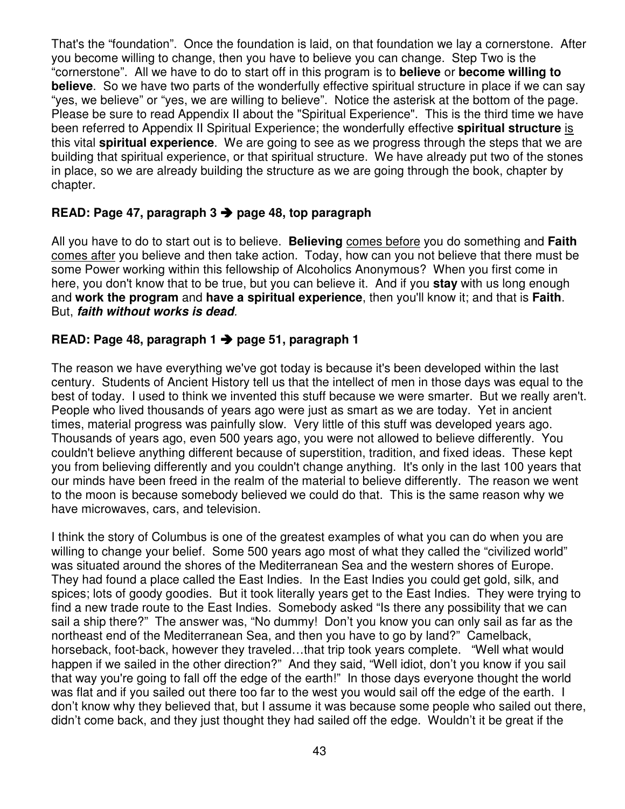That's the "foundation". Once the foundation is laid, on that foundation we lay a cornerstone. After you become willing to change, then you have to believe you can change. Step Two is the "cornerstone". All we have to do to start off in this program is to **believe** or **become willing to believe**. So we have two parts of the wonderfully effective spiritual structure in place if we can say "yes, we believe" or "yes, we are willing to believe". Notice the asterisk at the bottom of the page. Please be sure to read Appendix II about the "Spiritual Experience". This is the third time we have been referred to Appendix II Spiritual Experience; the wonderfully effective **spiritual structure** is this vital **spiritual experience**. We are going to see as we progress through the steps that we are building that spiritual experience, or that spiritual structure. We have already put two of the stones in place, so we are already building the structure as we are going through the book, chapter by chapter.

# **READ: Page 47, paragraph 3 page 48, top paragraph**

All you have to do to start out is to believe. **Believing** comes before you do something and **Faith**  comes after you believe and then take action. Today, how can you not believe that there must be some Power working within this fellowship of Alcoholics Anonymous? When you first come in here, you don't know that to be true, but you can believe it. And if you **stay** with us long enough and **work the program** and **have a spiritual experience**, then you'll know it; and that is **Faith**. But, **faith without works is dead**.

#### **READ: Page 48, paragraph 1 page 51, paragraph 1**

The reason we have everything we've got today is because it's been developed within the last century. Students of Ancient History tell us that the intellect of men in those days was equal to the best of today. I used to think we invented this stuff because we were smarter. But we really aren't. People who lived thousands of years ago were just as smart as we are today. Yet in ancient times, material progress was painfully slow. Very little of this stuff was developed years ago. Thousands of years ago, even 500 years ago, you were not allowed to believe differently. You couldn't believe anything different because of superstition, tradition, and fixed ideas. These kept you from believing differently and you couldn't change anything. It's only in the last 100 years that our minds have been freed in the realm of the material to believe differently. The reason we went to the moon is because somebody believed we could do that. This is the same reason why we have microwaves, cars, and television.

I think the story of Columbus is one of the greatest examples of what you can do when you are willing to change your belief. Some 500 years ago most of what they called the "civilized world" was situated around the shores of the Mediterranean Sea and the western shores of Europe. They had found a place called the East Indies. In the East Indies you could get gold, silk, and spices; lots of goody goodies. But it took literally years get to the East Indies. They were trying to find a new trade route to the East Indies. Somebody asked "Is there any possibility that we can sail a ship there?" The answer was, "No dummy! Don't you know you can only sail as far as the northeast end of the Mediterranean Sea, and then you have to go by land?" Camelback, horseback, foot-back, however they traveled…that trip took years complete. "Well what would happen if we sailed in the other direction?" And they said, "Well idiot, don't you know if you sail that way you're going to fall off the edge of the earth!" In those days everyone thought the world was flat and if you sailed out there too far to the west you would sail off the edge of the earth. I don't know why they believed that, but I assume it was because some people who sailed out there, didn't come back, and they just thought they had sailed off the edge. Wouldn't it be great if the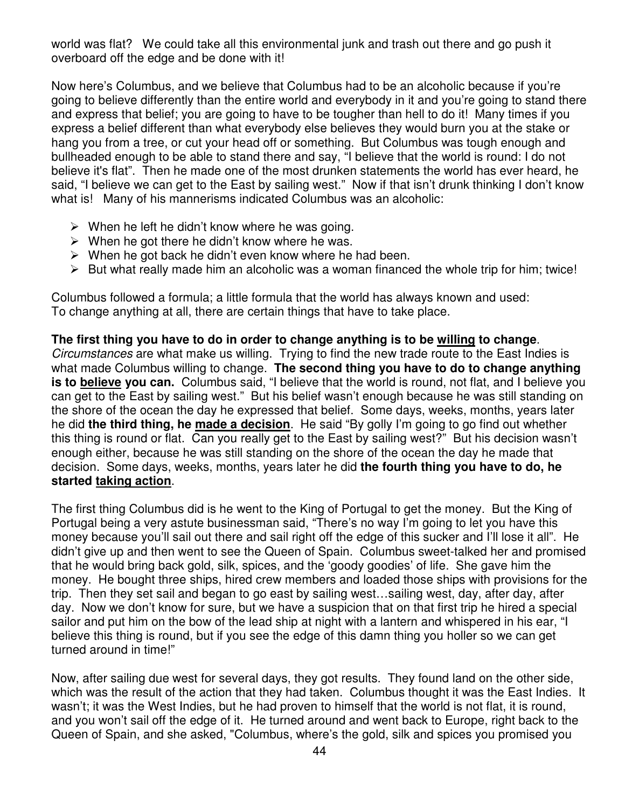world was flat? We could take all this environmental junk and trash out there and go push it overboard off the edge and be done with it!

Now here's Columbus, and we believe that Columbus had to be an alcoholic because if you're going to believe differently than the entire world and everybody in it and you're going to stand there and express that belief; you are going to have to be tougher than hell to do it! Many times if you express a belief different than what everybody else believes they would burn you at the stake or hang you from a tree, or cut your head off or something. But Columbus was tough enough and bullheaded enough to be able to stand there and say, "I believe that the world is round: I do not believe it's flat". Then he made one of the most drunken statements the world has ever heard, he said, "I believe we can get to the East by sailing west." Now if that isn't drunk thinking I don't know what is! Many of his mannerisms indicated Columbus was an alcoholic:

- > When he left he didn't know where he was going.
- > When he got there he didn't know where he was.
- > When he got back he didn't even know where he had been.
- > But what really made him an alcoholic was a woman financed the whole trip for him; twice!

Columbus followed a formula; a little formula that the world has always known and used: To change anything at all, there are certain things that have to take place.

**The first thing you have to do in order to change anything is to be willing to change**. Circumstances are what make us willing. Trying to find the new trade route to the East Indies is what made Columbus willing to change. **The second thing you have to do to change anything is to believe you can.** Columbus said, "I believe that the world is round, not flat, and I believe you can get to the East by sailing west." But his belief wasn't enough because he was still standing on the shore of the ocean the day he expressed that belief. Some days, weeks, months, years later he did **the third thing, he made a decision**. He said "By golly I'm going to go find out whether this thing is round or flat. Can you really get to the East by sailing west?" But his decision wasn't enough either, because he was still standing on the shore of the ocean the day he made that decision. Some days, weeks, months, years later he did **the fourth thing you have to do, he started taking action**.

The first thing Columbus did is he went to the King of Portugal to get the money. But the King of Portugal being a very astute businessman said, "There's no way I'm going to let you have this money because you'll sail out there and sail right off the edge of this sucker and I'll lose it all". He didn't give up and then went to see the Queen of Spain. Columbus sweet-talked her and promised that he would bring back gold, silk, spices, and the 'goody goodies' of life. She gave him the money. He bought three ships, hired crew members and loaded those ships with provisions for the trip. Then they set sail and began to go east by sailing west…sailing west, day, after day, after day. Now we don't know for sure, but we have a suspicion that on that first trip he hired a special sailor and put him on the bow of the lead ship at night with a lantern and whispered in his ear, "I believe this thing is round, but if you see the edge of this damn thing you holler so we can get turned around in time!"

Now, after sailing due west for several days, they got results. They found land on the other side, which was the result of the action that they had taken. Columbus thought it was the East Indies. It wasn't; it was the West Indies, but he had proven to himself that the world is not flat, it is round, and you won't sail off the edge of it. He turned around and went back to Europe, right back to the Queen of Spain, and she asked, "Columbus, where's the gold, silk and spices you promised you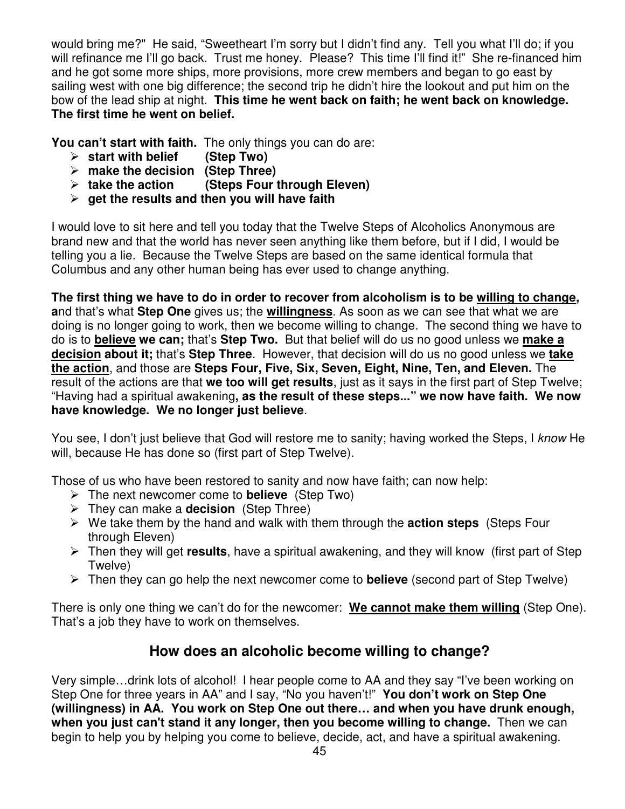would bring me?" He said, "Sweetheart I'm sorry but I didn't find any. Tell you what I'll do; if you will refinance me I'll go back. Trust me honey. Please? This time I'll find it!" She re-financed him and he got some more ships, more provisions, more crew members and began to go east by sailing west with one big difference; the second trip he didn't hire the lookout and put him on the bow of the lead ship at night. **This time he went back on faith; he went back on knowledge. The first time he went on belief.** 

**You can't start with faith.** The only things you can do are:

- **start with belief (Step Two)**
- **make the decision (Step Three)**
- $\triangleright$  take the action **(Steps Four through Eleven)**
- **get the results and then you will have faith**

I would love to sit here and tell you today that the Twelve Steps of Alcoholics Anonymous are brand new and that the world has never seen anything like them before, but if I did, I would be telling you a lie. Because the Twelve Steps are based on the same identical formula that Columbus and any other human being has ever used to change anything.

**The first thing we have to do in order to recover from alcoholism is to be willing to change, a**nd that's what **Step One** gives us; the **willingness**. As soon as we can see that what we are doing is no longer going to work, then we become willing to change. The second thing we have to do is to **believe we can;** that's **Step Two.** But that belief will do us no good unless we **make a decision about it;** that's **Step Three**. However, that decision will do us no good unless we **take the action**, and those are **Steps Four, Five, Six, Seven, Eight, Nine, Ten, and Eleven.** The result of the actions are that **we too will get results**, just as it says in the first part of Step Twelve; "Having had a spiritual awakening**, as the result of these steps..." we now have faith. We now have knowledge. We no longer just believe**.

You see, I don't just believe that God will restore me to sanity; having worked the Steps, I know He will, because He has done so (first part of Step Twelve).

Those of us who have been restored to sanity and now have faith; can now help:

- The next newcomer come to **believe** (Step Two)
- > They can make a **decision** (Step Three)
- > We take them by the hand and walk with them through the **action steps** (Steps Four through Eleven)
- > Then they will get results, have a spiritual awakening, and they will know (first part of Step Twelve)
- > Then they can go help the next newcomer come to **believe** (second part of Step Twelve)

There is only one thing we can't do for the newcomer: **We cannot make them willing** (Step One). That's a job they have to work on themselves.

# **How does an alcoholic become willing to change?**

Very simple…drink lots of alcohol! I hear people come to AA and they say "I've been working on Step One for three years in AA" and I say, "No you haven't!" **You don't work on Step One (willingness) in AA. You work on Step One out there… and when you have drunk enough, when you just can't stand it any longer, then you become willing to change.** Then we can begin to help you by helping you come to believe, decide, act, and have a spiritual awakening.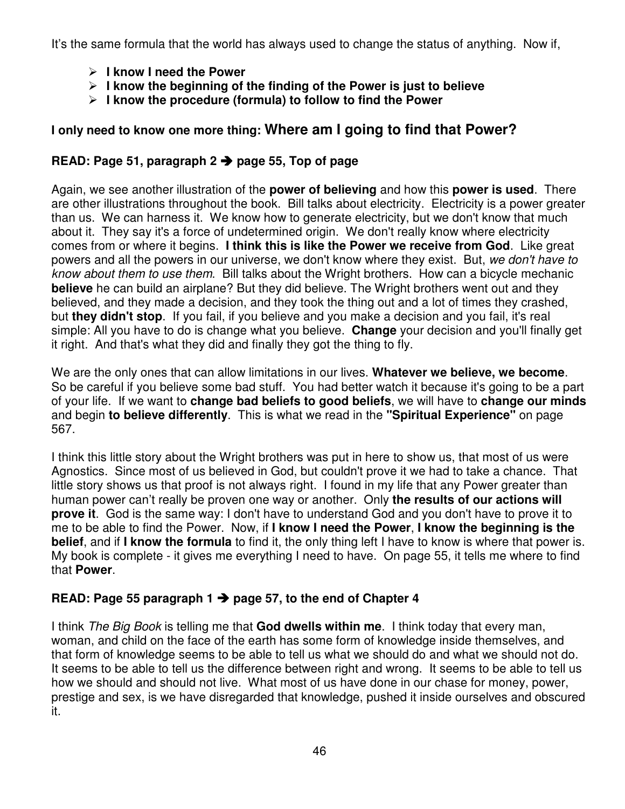It's the same formula that the world has always used to change the status of anything. Now if,

- **I know I need the Power**
- **I know the beginning of the finding of the Power is just to believe**
- **I know the procedure (formula) to follow to find the Power**

# **I only need to know one more thing: Where am I going to find that Power?**

# **READ: Page 51, paragraph 2 page 55, Top of page**

Again, we see another illustration of the **power of believing** and how this **power is used**. There are other illustrations throughout the book. Bill talks about electricity. Electricity is a power greater than us. We can harness it. We know how to generate electricity, but we don't know that much about it. They say it's a force of undetermined origin. We don't really know where electricity comes from or where it begins. **I think this is like the Power we receive from God**. Like great powers and all the powers in our universe, we don't know where they exist. But, we don't have to know about them to use them. Bill talks about the Wright brothers. How can a bicycle mechanic **believe** he can build an airplane? But they did believe. The Wright brothers went out and they believed, and they made a decision, and they took the thing out and a lot of times they crashed, but **they didn't stop**. If you fail, if you believe and you make a decision and you fail, it's real simple: All you have to do is change what you believe. **Change** your decision and you'll finally get it right. And that's what they did and finally they got the thing to fly.

We are the only ones that can allow limitations in our lives. **Whatever we believe, we become**. So be careful if you believe some bad stuff. You had better watch it because it's going to be a part of your life. If we want to **change bad beliefs to good beliefs**, we will have to **change our minds** and begin **to believe differently**. This is what we read in the **"Spiritual Experience"** on page 567.

I think this little story about the Wright brothers was put in here to show us, that most of us were Agnostics. Since most of us believed in God, but couldn't prove it we had to take a chance. That little story shows us that proof is not always right. I found in my life that any Power greater than human power can't really be proven one way or another. Only **the results of our actions will prove it**. God is the same way: I don't have to understand God and you don't have to prove it to me to be able to find the Power. Now, if **I know I need the Power**, **I know the beginning is the belief**, and if **I know the formula** to find it, the only thing left I have to know is where that power is. My book is complete - it gives me everything I need to have. On page 55, it tells me where to find that **Power**.

# **READ: Page 55 paragraph 1 page 57, to the end of Chapter 4**

I think The Big Book is telling me that **God dwells within me**. I think today that every man, woman, and child on the face of the earth has some form of knowledge inside themselves, and that form of knowledge seems to be able to tell us what we should do and what we should not do. It seems to be able to tell us the difference between right and wrong. It seems to be able to tell us how we should and should not live. What most of us have done in our chase for money, power, prestige and sex, is we have disregarded that knowledge, pushed it inside ourselves and obscured it.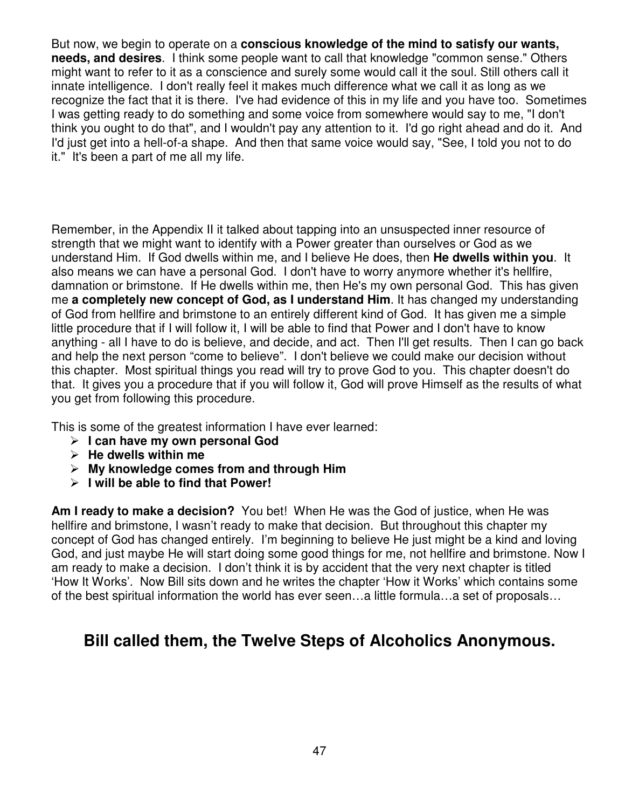But now, we begin to operate on a **conscious knowledge of the mind to satisfy our wants, needs, and desires**. I think some people want to call that knowledge "common sense." Others might want to refer to it as a conscience and surely some would call it the soul. Still others call it innate intelligence. I don't really feel it makes much difference what we call it as long as we recognize the fact that it is there. I've had evidence of this in my life and you have too. Sometimes I was getting ready to do something and some voice from somewhere would say to me, "I don't think you ought to do that", and I wouldn't pay any attention to it. I'd go right ahead and do it. And I'd just get into a hell-of-a shape. And then that same voice would say, "See, I told you not to do it." It's been a part of me all my life.

Remember, in the Appendix II it talked about tapping into an unsuspected inner resource of strength that we might want to identify with a Power greater than ourselves or God as we understand Him. If God dwells within me, and I believe He does, then **He dwells within you**. It also means we can have a personal God. I don't have to worry anymore whether it's hellfire, damnation or brimstone. If He dwells within me, then He's my own personal God. This has given me **a completely new concept of God, as I understand Him**. It has changed my understanding of God from hellfire and brimstone to an entirely different kind of God. It has given me a simple little procedure that if I will follow it, I will be able to find that Power and I don't have to know anything - all I have to do is believe, and decide, and act. Then I'll get results. Then I can go back and help the next person "come to believe". I don't believe we could make our decision without this chapter. Most spiritual things you read will try to prove God to you. This chapter doesn't do that. It gives you a procedure that if you will follow it, God will prove Himself as the results of what you get from following this procedure.

This is some of the greatest information I have ever learned:

- **I can have my own personal God**
- **He dwells within me**
- **My knowledge comes from and through Him**
- **I will be able to find that Power!**

**Am I ready to make a decision?** You bet! When He was the God of justice, when He was hellfire and brimstone, I wasn't ready to make that decision. But throughout this chapter my concept of God has changed entirely. I'm beginning to believe He just might be a kind and loving God, and just maybe He will start doing some good things for me, not hellfire and brimstone. Now I am ready to make a decision. I don't think it is by accident that the very next chapter is titled 'How It Works'. Now Bill sits down and he writes the chapter 'How it Works' which contains some of the best spiritual information the world has ever seen…a little formula…a set of proposals…

# **Bill called them, the Twelve Steps of Alcoholics Anonymous.**